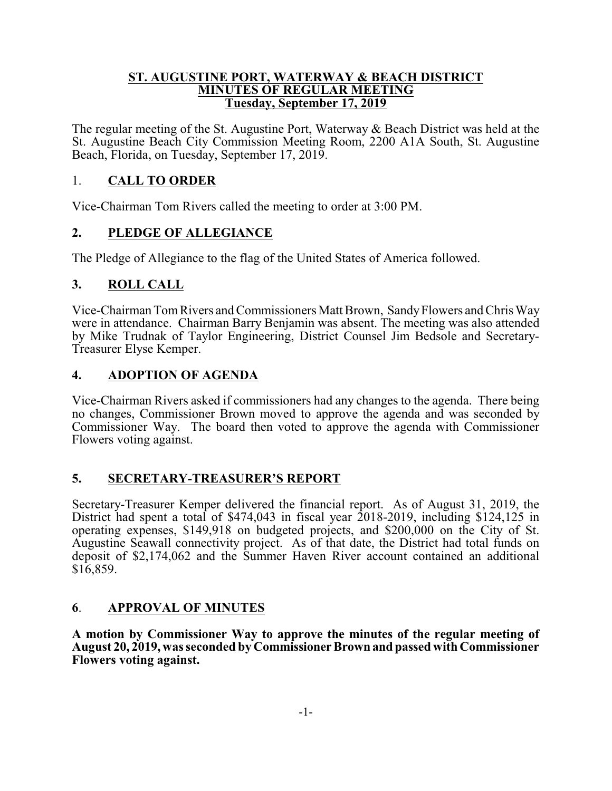#### **ST. AUGUSTINE PORT, WATERWAY & BEACH DISTRICT MINUTES OF REGULAR MEETING Tuesday, September 17, 2019**

The regular meeting of the St. Augustine Port, Waterway & Beach District was held at the St. Augustine Beach City Commission Meeting Room, 2200 A1A South, St. Augustine Beach, Florida, on Tuesday, September 17, 2019.

## 1. **CALL TO ORDER**

Vice-Chairman Tom Rivers called the meeting to order at 3:00 PM.

# **2. PLEDGE OF ALLEGIANCE**

The Pledge of Allegiance to the flag of the United States of America followed.

# **3. ROLL CALL**

Vice-Chairman TomRivers and Commissioners Matt Brown, SandyFlowers and Chris Way were in attendance. Chairman Barry Benjamin was absent. The meeting was also attended by Mike Trudnak of Taylor Engineering, District Counsel Jim Bedsole and Secretary-Treasurer Elyse Kemper.

# **4. ADOPTION OF AGENDA**

Vice-Chairman Rivers asked if commissioners had any changes to the agenda. There being no changes, Commissioner Brown moved to approve the agenda and was seconded by Commissioner Way. The board then voted to approve the agenda with Commissioner Flowers voting against.

## **5. SECRETARY-TREASURER'S REPORT**

Secretary-Treasurer Kemper delivered the financial report. As of August 31, 2019, the District had spent a total of \$474,043 in fiscal year 2018-2019, including \$124,125 in operating expenses, \$149,918 on budgeted projects, and \$200,000 on the City of St. Augustine Seawall connectivity project. As of that date, the District had total funds on deposit of \$2,174,062 and the Summer Haven River account contained an additional \$16,859.

## **6**. **APPROVAL OF MINUTES**

**A motion by Commissioner Way to approve the minutes of the regular meeting of August 20, 2019, was seconded by CommissionerBrownandpassed with Commissioner Flowers voting against.**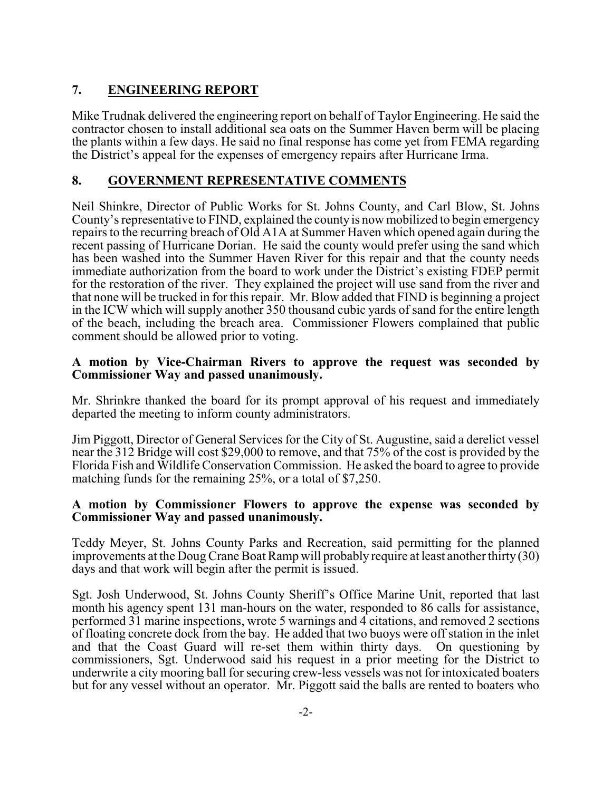# **7. ENGINEERING REPORT**

Mike Trudnak delivered the engineering report on behalf of Taylor Engineering. He said the contractor chosen to install additional sea oats on the Summer Haven berm will be placing the plants within a few days. He said no final response has come yet from FEMA regarding the District's appeal for the expenses of emergency repairs after Hurricane Irma.

## **8. GOVERNMENT REPRESENTATIVE COMMENTS**

Neil Shinkre, Director of Public Works for St. Johns County, and Carl Blow, St. Johns County's representative to FIND, explained the county is now mobilized to begin emergency repairs to the recurring breach of Old A1A at Summer Haven which opened again during the recent passing of Hurricane Dorian. He said the county would prefer using the sand which has been washed into the Summer Haven River for this repair and that the county needs immediate authorization from the board to work under the District's existing FDEP permit for the restoration of the river. They explained the project will use sand from the river and that none will be trucked in for this repair. Mr. Blow added that FIND is beginning a project in the ICW which will supply another 350 thousand cubic yards of sand for the entire length of the beach, including the breach area. Commissioner Flowers complained that public comment should be allowed prior to voting.

### **A motion by Vice-Chairman Rivers to approve the request was seconded by Commissioner Way and passed unanimously.**

Mr. Shrinkre thanked the board for its prompt approval of his request and immediately departed the meeting to inform county administrators.

Jim Piggott, Director of General Services for the City of St. Augustine, said a derelict vessel near the 312 Bridge will cost \$29,000 to remove, and that 75% of the cost is provided by the Florida Fish and Wildlife Conservation Commission. He asked the board to agree to provide matching funds for the remaining 25%, or a total of \$7,250.

#### **A motion by Commissioner Flowers to approve the expense was seconded by Commissioner Way and passed unanimously.**

Teddy Meyer, St. Johns County Parks and Recreation, said permitting for the planned improvements at the Doug Crane Boat Ramp will probably require at least another thirty (30) days and that work will begin after the permit is issued.

Sgt. Josh Underwood, St. Johns County Sheriff's Office Marine Unit, reported that last month his agency spent 131 man-hours on the water, responded to 86 calls for assistance, performed 31 marine inspections, wrote 5 warnings and 4 citations, and removed 2 sections of floating concrete dock from the bay. He added that two buoys were off station in the inlet and that the Coast Guard will re-set them within thirty days. On questioning by commissioners, Sgt. Underwood said his request in a prior meeting for the District to underwrite a city mooring ball for securing crew-less vessels was not for intoxicated boaters but for any vessel without an operator. Mr. Piggott said the balls are rented to boaters who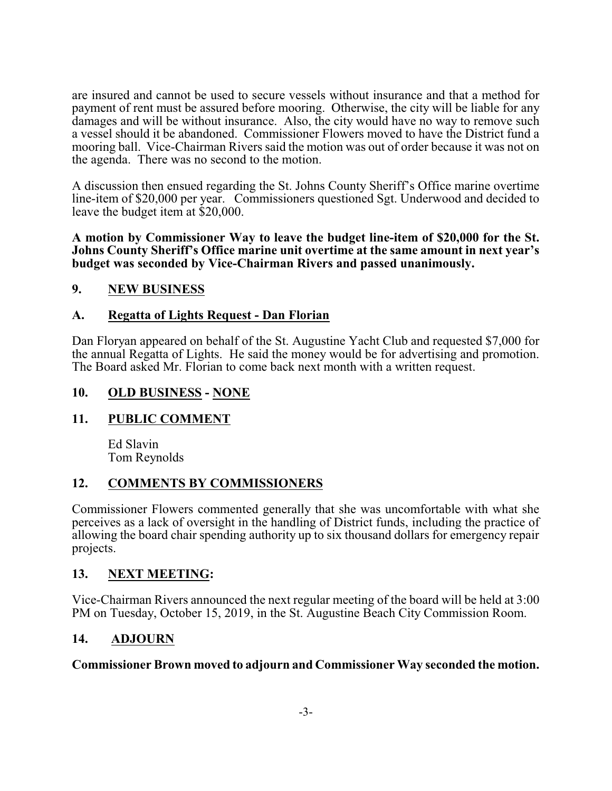are insured and cannot be used to secure vessels without insurance and that a method for payment of rent must be assured before mooring. Otherwise, the city will be liable for any damages and will be without insurance. Also, the city would have no way to remove such a vessel should it be abandoned. Commissioner Flowers moved to have the District fund a mooring ball. Vice-Chairman Rivers said the motion was out of order because it was not on the agenda. There was no second to the motion.

A discussion then ensued regarding the St. Johns County Sheriff's Office marine overtime line-item of \$20,000 per year. Commissioners questioned Sgt. Underwood and decided to leave the budget item at \$20,000.

**A motion by Commissioner Way to leave the budget line-item of \$20,000 for the St. Johns County Sheriff's Office marine unit overtime at the same amount in next year's budget was seconded by Vice-Chairman Rivers and passed unanimously.**

## **9. NEW BUSINESS**

## **A. Regatta of Lights Request - Dan Florian**

Dan Floryan appeared on behalf of the St. Augustine Yacht Club and requested \$7,000 for the annual Regatta of Lights. He said the money would be for advertising and promotion. The Board asked Mr. Florian to come back next month with a written request.

### **10. OLD BUSINESS - NONE**

## **11. PUBLIC COMMENT**

Ed Slavin Tom Reynolds

## **12. COMMENTS BY COMMISSIONERS**

Commissioner Flowers commented generally that she was uncomfortable with what she perceives as a lack of oversight in the handling of District funds, including the practice of allowing the board chair spending authority up to six thousand dollars for emergency repair projects.

### **13. NEXT MEETING:**

Vice-Chairman Rivers announced the next regular meeting of the board will be held at 3:00 PM on Tuesday, October 15, 2019, in the St. Augustine Beach City Commission Room.

## **14. ADJOURN**

### **Commissioner Brown moved to adjourn and Commissioner Way seconded the motion.**